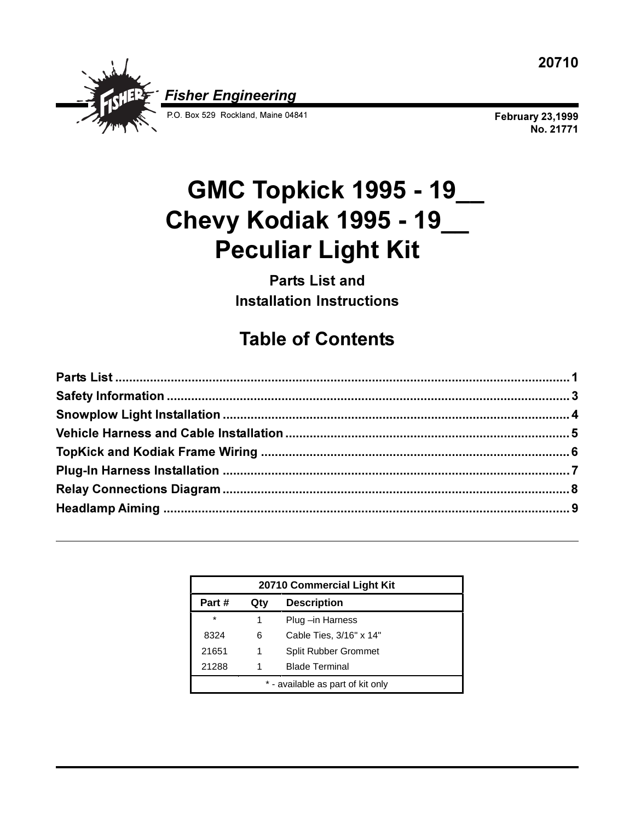

**February 23,1999 No. 21771**

# **GMC Topkick 1995 - 19\_\_ Chevy Kodiak 1995 - 19\_\_ Peculiar Light Kit**

**Parts List and Installation Instructions**

# **Table of Contents**

| 20710 Commercial Light Kit        |                                  |                         |  |  |
|-----------------------------------|----------------------------------|-------------------------|--|--|
| Part #                            | Qty                              | <b>Description</b>      |  |  |
| $\star$                           | 1                                | Plug -in Harness        |  |  |
| 8324                              | 6                                | Cable Ties, 3/16" x 14" |  |  |
| 21651                             | <b>Split Rubber Grommet</b><br>1 |                         |  |  |
| 21288                             |                                  | <b>Blade Terminal</b>   |  |  |
| * - available as part of kit only |                                  |                         |  |  |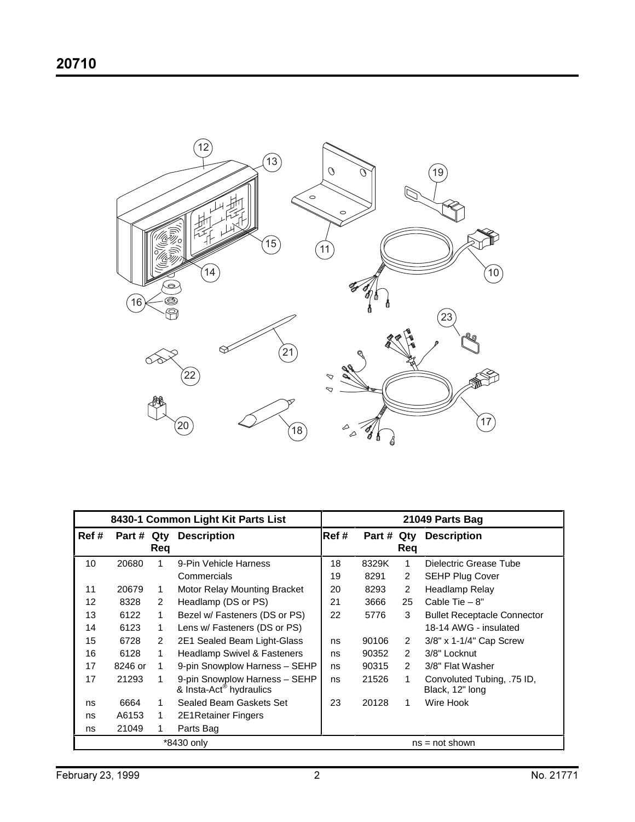

| 8430-1 Common Light Kit Parts List |         |               | 21049 Parts Bag                                                      |       |        |            |                                               |
|------------------------------------|---------|---------------|----------------------------------------------------------------------|-------|--------|------------|-----------------------------------------------|
| Ref #                              | Part #  | Qty<br>Req    | <b>Description</b>                                                   | Ref # | Part # | Qty<br>Req | <b>Description</b>                            |
| 10                                 | 20680   |               | 9-Pin Vehicle Harness                                                | 18    | 8329K  | 1          | Dielectric Grease Tube                        |
|                                    |         |               | Commercials                                                          | 19    | 8291   | 2          | <b>SEHP Plug Cover</b>                        |
| 11                                 | 20679   | 1.            | Motor Relay Mounting Bracket                                         | 20    | 8293   | 2          | Headlamp Relay                                |
| 12                                 | 8328    | $\mathcal{P}$ | Headlamp (DS or PS)                                                  | 21    | 3666   | 25         | Cable Tie $-8"$                               |
| 13                                 | 6122    | 1             | Bezel w/ Fasteners (DS or PS)                                        | 22    | 5776   | 3          | <b>Bullet Receptacle Connector</b>            |
| 14                                 | 6123    | 1             | Lens w/ Fasteners (DS or PS)                                         |       |        |            | 18-14 AWG - insulated                         |
| 15                                 | 6728    | 2             | 2E1 Sealed Beam Light-Glass                                          | ns    | 90106  | 2          | 3/8" x 1-1/4" Cap Screw                       |
| 16                                 | 6128    |               | <b>Headlamp Swivel &amp; Fasteners</b>                               | ns    | 90352  | 2          | 3/8" Locknut                                  |
| 17                                 | 8246 or |               | 9-pin Snowplow Harness - SEHP                                        | ns    | 90315  | 2          | 3/8" Flat Washer                              |
| 17                                 | 21293   |               | 9-pin Snowplow Harness - SEHP<br>& Insta-Act <sup>®</sup> hydraulics | ns    | 21526  | 1          | Convoluted Tubing, .75 ID,<br>Black, 12" long |
| ns                                 | 6664    |               | Sealed Beam Gaskets Set                                              | 23    | 20128  | 1          | Wire Hook                                     |
| ns                                 | A6153   |               | <b>2E1Retainer Fingers</b>                                           |       |        |            |                                               |
| ns                                 | 21049   |               | Parts Bag                                                            |       |        |            |                                               |
| *8430 only                         |         |               | $ns = not shown$                                                     |       |        |            |                                               |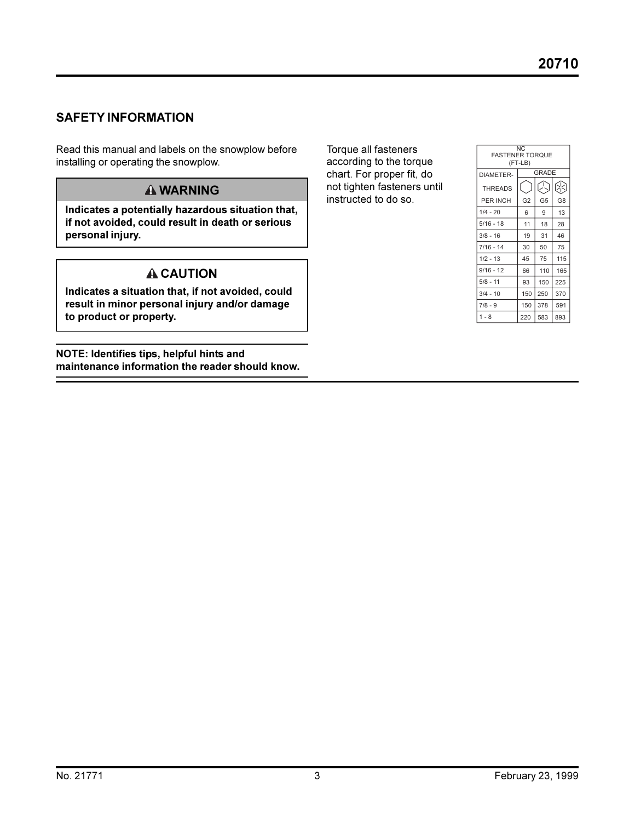#### **SAFETY INFORMATION**

Read this manual and labels on the snowplow before installing or operating the snowplow.

#### **WARNING**

**Indicates a potentially hazardous situation that, if not avoided, could result in death or serious personal injury.**

### **A** CAUTION

**Indicates a situation that, if not avoided, could result in minor personal injury and/or damage to product or property.**

**NOTE: Identifies tips, helpful hints and maintenance information the reader should know.**

Torque all fasteners according to the torque chart. For proper fit, do not tighten fasteners until instructed to do so.

| N <sub>C</sub><br><b>FASTENER TOROUE</b> |                |                |                |  |  |  |
|------------------------------------------|----------------|----------------|----------------|--|--|--|
| (FT-LB)                                  |                |                |                |  |  |  |
| DIAMETER-                                | <b>GRADE</b>   |                |                |  |  |  |
| <b>THREADS</b>                           |                | A              | Æ              |  |  |  |
| PER INCH                                 | G <sub>2</sub> | G <sub>5</sub> | G <sub>8</sub> |  |  |  |
| $1/4 - 20$                               | 6              | 9              | 13             |  |  |  |
| $5/16 - 18$                              | 11             | 18             | 28             |  |  |  |
| $3/8 - 16$                               | 19             | 31             | 46             |  |  |  |
| $7/16 - 14$                              | 30             | 50             | 75             |  |  |  |
| $1/2 - 13$                               | 45             | 75             | 115            |  |  |  |
| $9/16 - 12$                              | 66             | 110            | 165            |  |  |  |
| $5/8 - 11$                               | 93             | 150            | 225            |  |  |  |
| $3/4 - 10$                               | 150            | 250            | 370            |  |  |  |
| $7/8 - 9$                                | 150            | 378            | 591            |  |  |  |
| $1 - 8$                                  | 220            | 583            | 893            |  |  |  |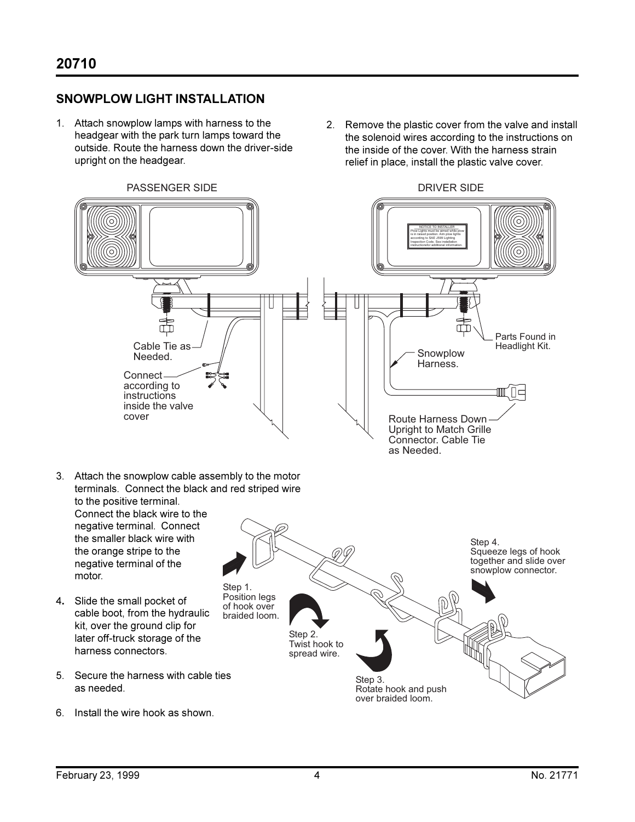#### **SNOWPLOW LIGHT INSTALLATION**

- 1. Attach snowplow lamps with harness to the headgear with the park turn lamps toward the outside. Route the harness down the driver-side upright on the headgear.
- 2. Remove the plastic cover from the valve and install the solenoid wires according to the instructions on the inside of the cover. With the harness strain relief in place, install the plastic valve cover.

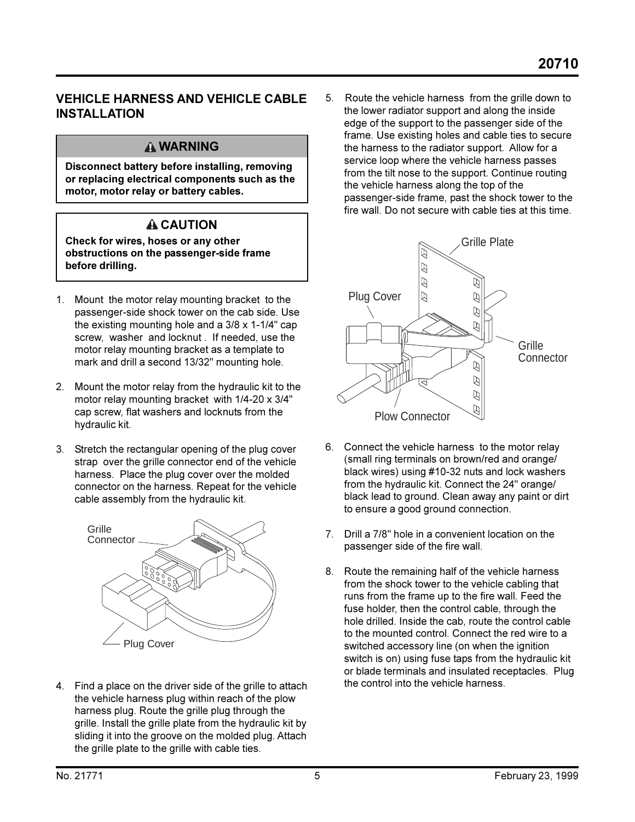#### **VEHICLE HARNESS AND VEHICLE CABLE INSTALLATION**

#### **WARNING**

**Disconnect battery before installing, removing or replacing electrical components such as the motor, motor relay or battery cables.**

### **CAUTION**

**Check for wires, hoses or any other obstructions on the passenger-side frame before drilling.**

- 1. Mount the motor relay mounting bracket to the passenger-side shock tower on the cab side. Use the existing mounting hole and a 3/8 x 1-1/4" cap screw, washer and locknut . If needed, use the motor relay mounting bracket as a template to mark and drill a second 13/32" mounting hole.
- 2. Mount the motor relay from the hydraulic kit to the motor relay mounting bracket with 1/4-20 x 3/4" cap screw, flat washers and locknuts from the hydraulic kit.
- 3. Stretch the rectangular opening of the plug cover strap over the grille connector end of the vehicle harness. Place the plug cover over the molded connector on the harness. Repeat for the vehicle cable assembly from the hydraulic kit.



4. Find a place on the driver side of the grille to attach the vehicle harness plug within reach of the plow harness plug. Route the grille plug through the grille. Install the grille plate from the hydraulic kit by sliding it into the groove on the molded plug. Attach the grille plate to the grille with cable ties.

5. Route the vehicle harness from the grille down to the lower radiator support and along the inside edge of the support to the passenger side of the frame. Use existing holes and cable ties to secure the harness to the radiator support. Allow for a service loop where the vehicle harness passes from the tilt nose to the support. Continue routing the vehicle harness along the top of the passenger-side frame, past the shock tower to the fire wall. Do not secure with cable ties at this time.



- 6. Connect the vehicle harness to the motor relay (small ring terminals on brown/red and orange/ black wires) using #10-32 nuts and lock washers from the hydraulic kit. Connect the 24" orange/ black lead to ground. Clean away any paint or dirt to ensure a good ground connection.
- 7. Drill a 7/8" hole in a convenient location on the passenger side of the fire wall.
- 8. Route the remaining half of the vehicle harness from the shock tower to the vehicle cabling that runs from the frame up to the fire wall. Feed the fuse holder, then the control cable, through the hole drilled. Inside the cab, route the control cable to the mounted control. Connect the red wire to a switched accessory line (on when the ignition switch is on) using fuse taps from the hydraulic kit or blade terminals and insulated receptacles. Plug the control into the vehicle harness.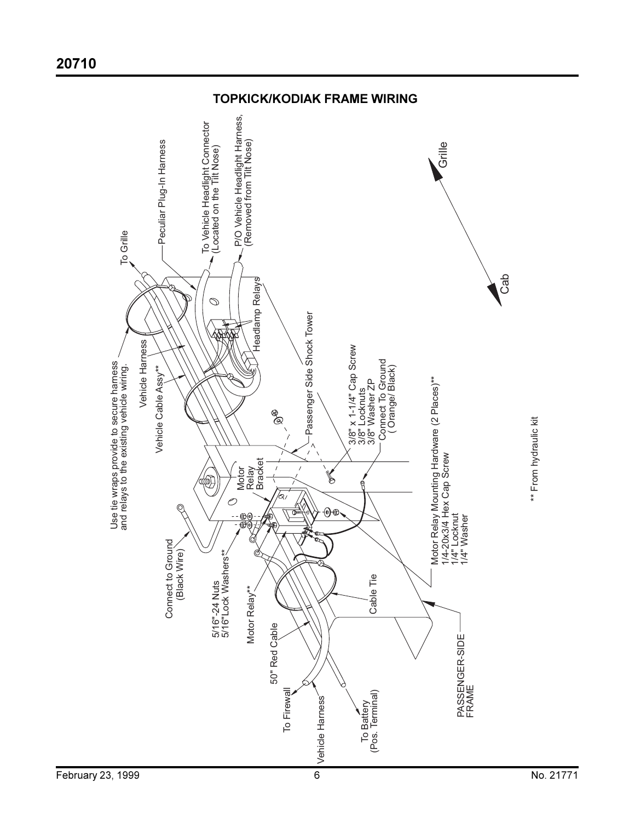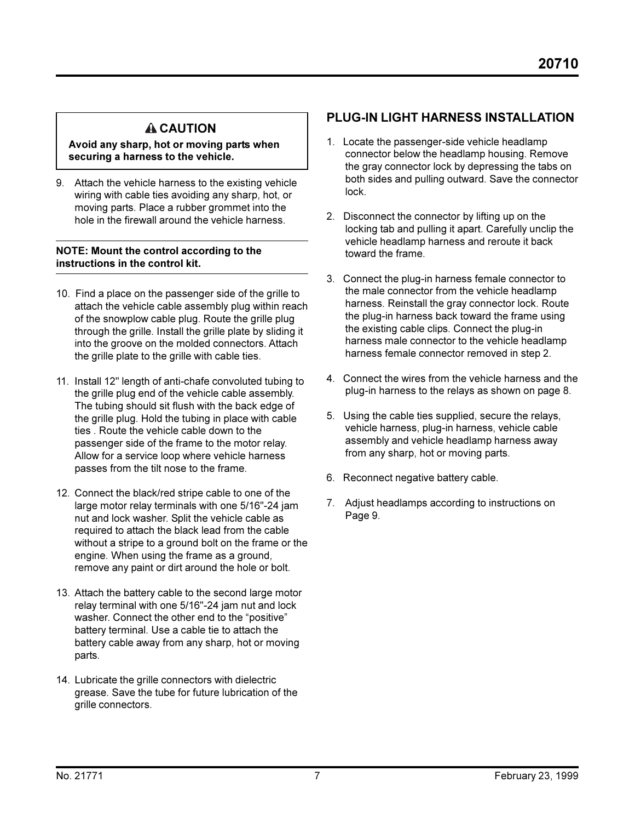## **A CAUTION**

**Avoid any sharp, hot or moving parts when securing a harness to the vehicle.**

9. Attach the vehicle harness to the existing vehicle wiring with cable ties avoiding any sharp, hot, or moving parts. Place a rubber grommet into the hole in the firewall around the vehicle harness.

#### **NOTE: Mount the control according to the instructions in the control kit.**

- 10. Find a place on the passenger side of the grille to attach the vehicle cable assembly plug within reach of the snowplow cable plug. Route the grille plug through the grille. Install the grille plate by sliding it into the groove on the molded connectors. Attach the grille plate to the grille with cable ties.
- 11. Install 12" length of anti-chafe convoluted tubing to the grille plug end of the vehicle cable assembly. The tubing should sit flush with the back edge of the grille plug. Hold the tubing in place with cable ties . Route the vehicle cable down to the passenger side of the frame to the motor relay. Allow for a service loop where vehicle harness passes from the tilt nose to the frame.
- 12. Connect the black/red stripe cable to one of the large motor relay terminals with one 5/16"-24 jam nut and lock washer. Split the vehicle cable as required to attach the black lead from the cable without a stripe to a ground bolt on the frame or the engine. When using the frame as a ground, remove any paint or dirt around the hole or bolt.
- 13. Attach the battery cable to the second large motor relay terminal with one 5/16"-24 jam nut and lock washer. Connect the other end to the "positive" battery terminal. Use a cable tie to attach the battery cable away from any sharp, hot or moving parts.
- 14. Lubricate the grille connectors with dielectric grease. Save the tube for future lubrication of the grille connectors.

#### **PLUG-IN LIGHT HARNESS INSTALLATION**

- 1. Locate the passenger-side vehicle headlamp connector below the headlamp housing. Remove the gray connector lock by depressing the tabs on both sides and pulling outward. Save the connector lock.
- 2. Disconnect the connector by lifting up on the locking tab and pulling it apart. Carefully unclip the vehicle headlamp harness and reroute it back toward the frame.
- 3. Connect the plug-in harness female connector to the male connector from the vehicle headlamp harness. Reinstall the gray connector lock. Route the plug-in harness back toward the frame using the existing cable clips. Connect the plug-in harness male connector to the vehicle headlamp harness female connector removed in step 2.
- 4. Connect the wires from the vehicle harness and the plug-in harness to the relays as shown on page 8.
- 5. Using the cable ties supplied, secure the relays, vehicle harness, plug-in harness, vehicle cable assembly and vehicle headlamp harness away from any sharp, hot or moving parts.
- 6. Reconnect negative battery cable.
- 7. Adjust headlamps according to instructions on Page 9.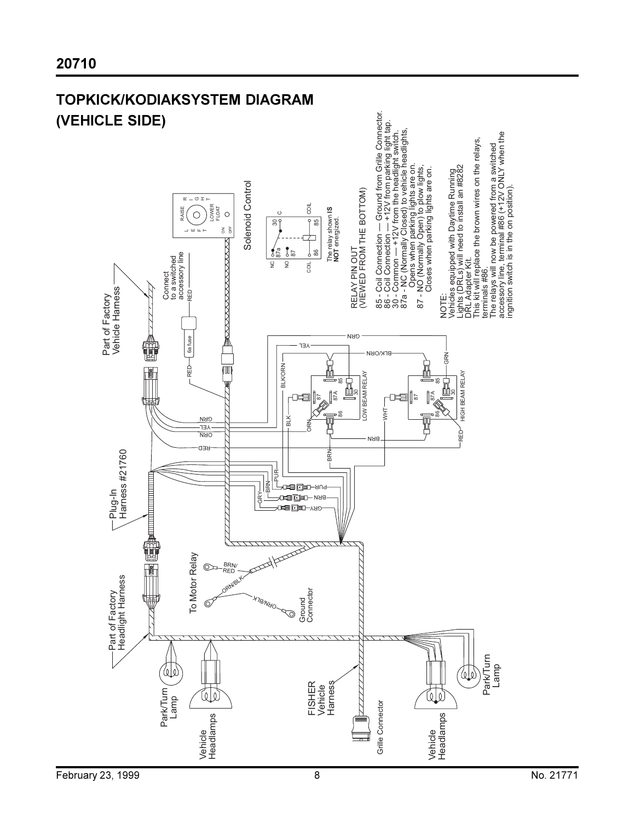

# **TOPKICK/KODIAKSYSTEM DIAGRAM**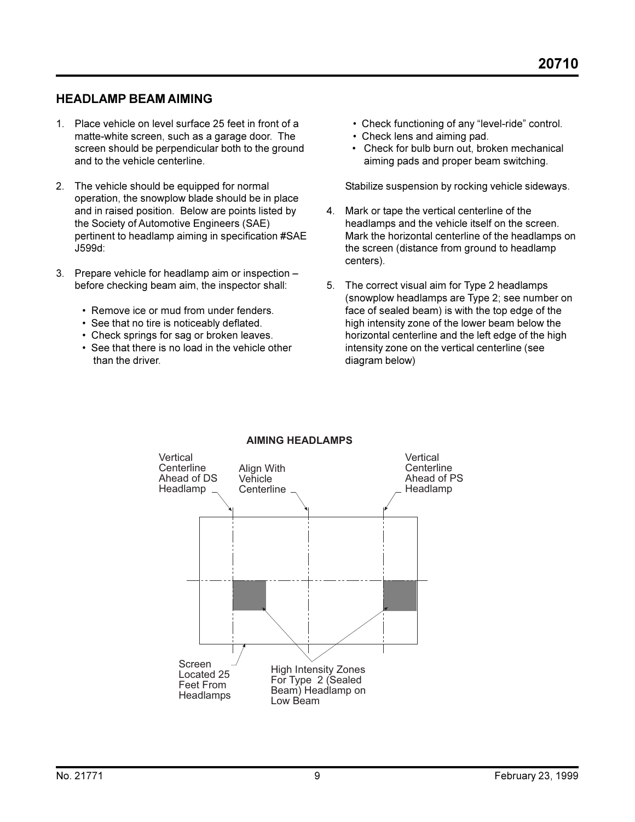#### **HEADLAMP BEAM AIMING**

- 1. Place vehicle on level surface 25 feet in front of a matte-white screen, such as a garage door. The screen should be perpendicular both to the ground and to the vehicle centerline.
- 2. The vehicle should be equipped for normal operation, the snowplow blade should be in place and in raised position. Below are points listed by the Society of Automotive Engineers (SAE) pertinent to headlamp aiming in specification #SAE J599d:
- 3. Prepare vehicle for headlamp aim or inspection before checking beam aim, the inspector shall:
	- Remove ice or mud from under fenders.
	- See that no tire is noticeably deflated.
	- Check springs for sag or broken leaves.
	- See that there is no load in the vehicle other than the driver.
- Check functioning of any "level-ride" control.
- Check lens and aiming pad.
- Check for bulb burn out, broken mechanical aiming pads and proper beam switching.

Stabilize suspension by rocking vehicle sideways.

- 4. Mark or tape the vertical centerline of the headlamps and the vehicle itself on the screen. Mark the horizontal centerline of the headlamps on the screen (distance from ground to headlamp centers).
- 5. The correct visual aim for Type 2 headlamps (snowplow headlamps are Type 2; see number on face of sealed beam) is with the top edge of the high intensity zone of the lower beam below the horizontal centerline and the left edge of the high intensity zone on the vertical centerline (see diagram below)



#### **AIMING HEADLAMPS**